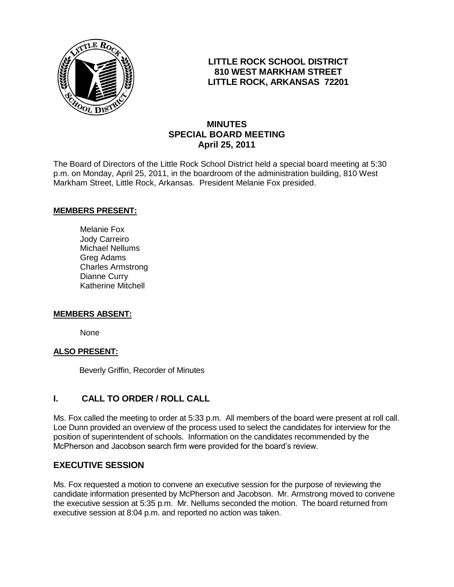

## **LITTLE ROCK SCHOOL DISTRICT 810 WEST MARKHAM STREET LITTLE ROCK, ARKANSAS 72201**

# **MINUTES SPECIAL BOARD MEETING April 25, 2011**

The Board of Directors of the Little Rock School District held a special board meeting at 5:30 p.m. on Monday, April 25, 2011, in the boardroom of the administration building, 810 West Markham Street, Little Rock, Arkansas. President Melanie Fox presided.

### **MEMBERS PRESENT:**

Melanie Fox Jody Carreiro Michael Nellums Greg Adams Charles Armstrong Dianne Curry Katherine Mitchell

#### **MEMBERS ABSENT:**

None

#### **ALSO PRESENT:**

Beverly Griffin, Recorder of Minutes

# **I. CALL TO ORDER / ROLL CALL**

Ms. Fox called the meeting to order at 5:33 p.m. All members of the board were present at roll call. Loe Dunn provided an overview of the process used to select the candidates for interview for the position of superintendent of schools. Information on the candidates recommended by the McPherson and Jacobson search firm were provided for the board's review.

## **EXECUTIVE SESSION**

Ms. Fox requested a motion to convene an executive session for the purpose of reviewing the candidate information presented by McPherson and Jacobson. Mr. Armstrong moved to convene the executive session at 5:35 p.m. Mr. Nellums seconded the motion. The board returned from executive session at 8:04 p.m. and reported no action was taken.